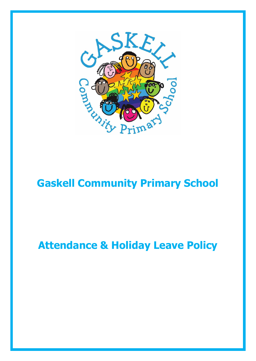

## **Gaskell Community Primary School**

# **Attendance & Holiday Leave Policy**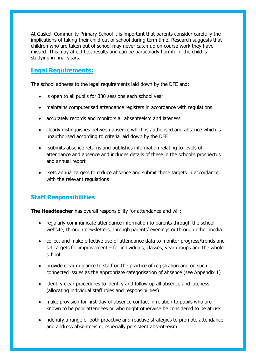At Gaskell Community Primary School it is important that parents consider carefully the implications of taking their child out of school during term time. Research suggests that children who are taken out of school may never catch up on course work they have missed. This may affect test results and can be particularly harmful if the child is studying in final years.

#### **Legal Requirements:**

The school adheres to the legal requirements laid down by the DFE and:

- is open to all pupils for 380 sessions each school year
- maintains computerised attendance registers in accordance with regulations
- accurately records and monitors all absenteeism and lateness
- clearly distinguishes between absence which is authorised and absence which is unauthorised according to criteria laid down by the DFE
- submits absence returns and publishes information relating to levels of attendance and absence and includes details of these in the school's prospectus and annual report
- sets annual targets to reduce absence and submit these targets in accordance with the relevant regulations

## **Staff Responsibilities**:

**The Headteacher** has overall responsibility for attendance and will:

- regularly communicate attendance information to parents through the school website, through newsletters, through parents' evenings or through other media
- collect and make effective use of attendance data to monitor progress/trends and set targets for improvement – for individuals, classes, year groups and the whole school
- provide clear quidance to staff on the practice of registration and on such connected issues as the appropriate categorisation of absence (see Appendix 1)
- identify clear procedures to identify and follow up all absence and lateness (allocating individual staff roles and responsibilities)
- make provision for first-day of absence contact in relation to pupils who are known to be poor attendees or who might otherwise be considered to be at risk
- identify a range of both proactive and reactive strategies to promote attendance and address absenteeism, especially persistent absenteeism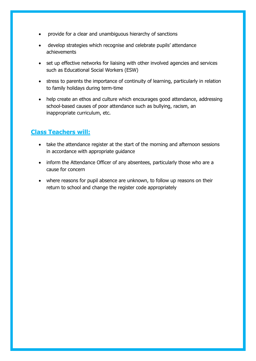- provide for a clear and unambiguous hierarchy of sanctions
- develop strategies which recognise and celebrate pupils' attendance achievements
- set up effective networks for liaising with other involved agencies and services such as Educational Social Workers (ESW)
- stress to parents the importance of continuity of learning, particularly in relation to family holidays during term-time
- help create an ethos and culture which encourages good attendance, addressing school-based causes of poor attendance such as bullying, racism, an inappropriate curriculum, etc.

#### **Class Teachers will:**

- take the attendance register at the start of the morning and afternoon sessions in accordance with appropriate guidance
- inform the Attendance Officer of any absentees, particularly those who are a cause for concern
- where reasons for pupil absence are unknown, to follow up reasons on their return to school and change the register code appropriately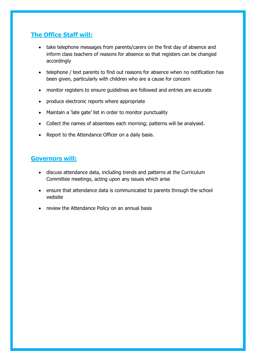## **The Office Staff will:**

- take telephone messages from parents/carers on the first day of absence and inform class teachers of reasons for absence so that registers can be changed accordingly
- telephone / text parents to find out reasons for absence when no notification has been given, particularly with children who are a cause for concern
- monitor registers to ensure guidelines are followed and entries are accurate
- produce electronic reports where appropriate
- Maintain a 'late gate' list in order to monitor punctuality
- Collect the names of absentees each morning; patterns will be analysed.
- Report to the Attendance Officer on a daily basis.

#### **Governors will:**

- discuss attendance data, including trends and patterns at the Curriculum Committee meetings, acting upon any issues which arise
- ensure that attendance data is communicated to parents through the school website
- review the Attendance Policy on an annual basis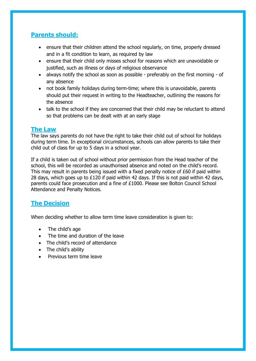## **Parents should:**

- ensure that their children attend the school regularly, on time, properly dressed and in a fit condition to learn, as required by law
- ensure that their child only misses school for reasons which are unavoidable or justified, such as illness or days of religious observance
- always notify the school as soon as possible preferably on the first morning of any absence
- not book family holidays during term-time; where this is unavoidable, parents should put their request in writing to the Headteacher, outlining the reasons for the absence
- talk to the school if they are concerned that their child may be reluctant to attend so that problems can be dealt with at an early stage

#### **The Law**

The law says parents do not have the right to take their child out of school for holidays during term time. In exceptional circumstances, schools can allow parents to take their child out of class for up to 5 days in a school year.

If a child is taken out of school without prior permission from the Head teacher of the school, this will be recorded as unauthorised absence and noted on the child's record. This may result in parents being issued with a fixed penalty notice of £60 if paid within 28 days, which goes up to £120 if paid within 42 days. If this is not paid within 42 days, parents could face prosecution and a fine of £1000. Please see Bolton Council School Attendance and Penalty Notices.

## **The Decision**

When deciding whether to allow term time leave consideration is given to:

- The child's age
- The time and duration of the leave
- The child's record of attendance
- The child's ability
- Previous term time leave